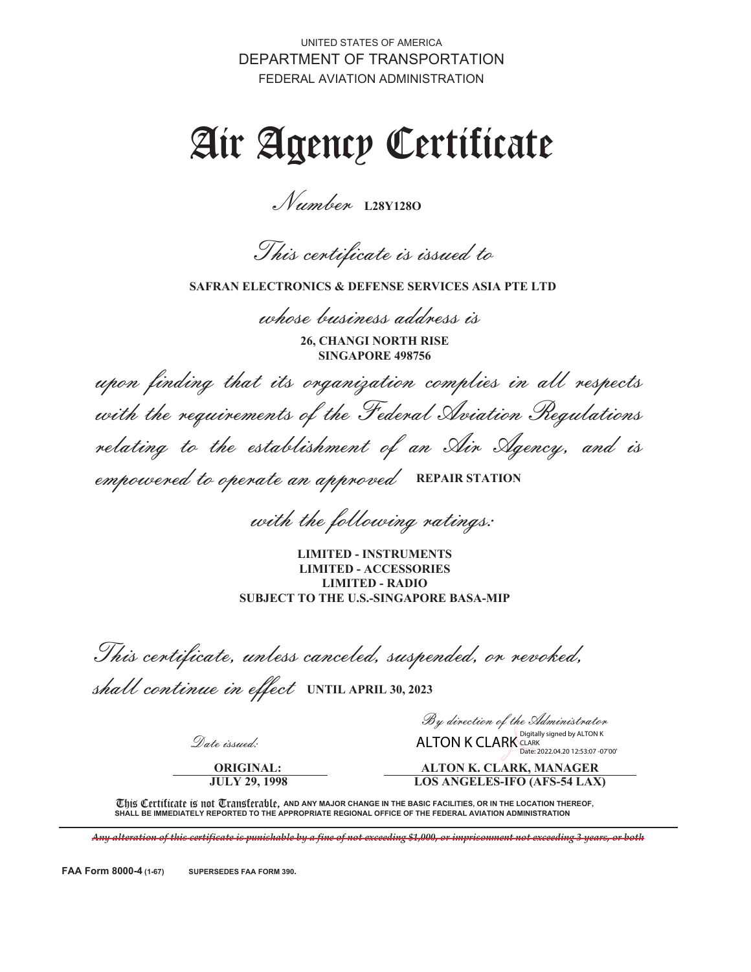UNITED STATES OF AMERICA DEPARTMENT OF TRANSPORTATION FEDERAL AVIATION ADMINISTRATION

# Air Agency Certificate

Number **L28Y128O**

This certificate is issued to

**SAFRAN ELECTRONICS & DEFENSE SERVICES ASIA PTE LTD**

whose business address is

**26, CHANGI NORTH RISE SINGAPORE 498756**

upon finding that its organization complies in all respects with the requirements of the Federal Aviation Regulations relating to the establishment of an Air Agency, and is empowered to operate an approved **REPAIR STATION**

with the following ratings:

**LIMITED - INSTRUMENTS LIMITED - ACCESSORIES LIMITED - RADIO SUBJECT TO THE U.S.-SINGAPORE BASA-MIP**

This certificate, unless canceled, suspended, or revoked,

shall continue in effect **UNTIL APRIL 30, 2023**

Date issued:

**ORIGINAL: JULY 29, 1998**

By direction of the Administrator ALTON K CLARK CLARK SIGNED BY ALTON K

**ALTON K. CLARK, MANAGER** Date: 2022.04.20.12:53:07 -07'00'

**LOS ANGELES-IFO (AFS-54 LAX)**

This Certificate is not Transferable, and any major change in the basic facilities, or in the location thereof, **SHALL BE IMMEDIATELY REPORTED TO THE APPROPRIATE REGIONAL OFFICE OF THE FEDERAL AVIATION ADMINISTRATION**

*Any alteration of this certificate is punishable by a fine of not exceeding \$1,000, or imprisonment not exceeding 3 years, or both*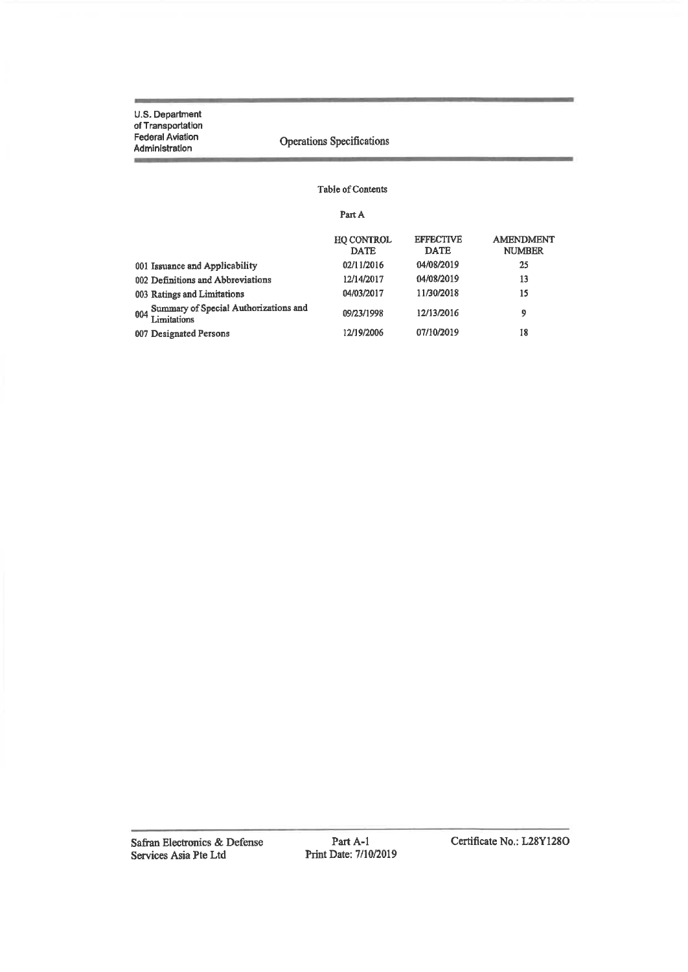## Operations Specifications

### Table of Contents

Part A

|                                                          | <b>HO CONTROL</b><br><b>DATE</b> | <b>EFFECTIVE</b><br><b>DATE</b> | <b>AMENDMENT</b><br><b>NUMBER</b> |
|----------------------------------------------------------|----------------------------------|---------------------------------|-----------------------------------|
| 001 Issuance and Applicability                           | 02/11/2016                       | 04/08/2019                      | 25                                |
| 002 Definitions and Abbreviations                        | 12/14/2017                       | 04/08/2019                      | 13                                |
| 003 Ratings and Limitations                              | 04/03/2017                       | 11/30/2018                      | 15                                |
| 004 Summary of Special Authorizations and<br>Limitations | 09/23/1998                       | 12/13/2016                      | 9                                 |
| 007 Designated Persons                                   | 12/19/2006                       | 07/10/2019                      | 18                                |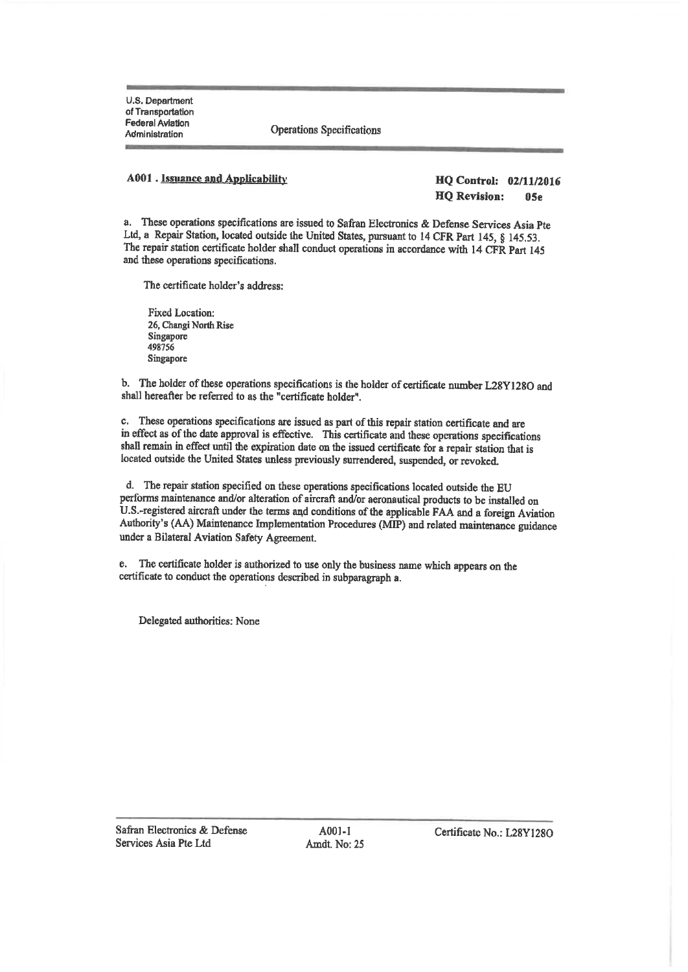**Operations Specifications** 

#### **A001** . Issuance and Applicability

**HQ Control: 02/11/2016 HO** Revision:  $05<sub>e</sub>$ 

a. These operations specifications are issued to Safran Electronics & Defense Services Asia Pte Ltd, a Repair Station, located outside the United States, pursuant to 14 CFR Part 145, § 145.53. The repair station certificate holder shall conduct operations in accordance with 14 CFR Part 145 and these operations specifications.

The certificate holder's address:

Fixed Location: 26, Changi North Rise Singapore 498756 Singapore

b. The holder of these operations specifications is the holder of certificate number L28Y128O and shall hereafter be referred to as the "certificate holder".

c. These operations specifications are issued as part of this repair station certificate and are in effect as of the date approval is effective. This certificate and these operations specifications shall remain in effect until the expiration date on the issued certificate for a repair station that is located outside the United States unless previously surrendered, suspended, or revoked.

d. The repair station specified on these operations specifications located outside the EU performs maintenance and/or alteration of aircraft and/or aeronautical products to be installed on U.S.-registered aircraft under the terms and conditions of the applicable FAA and a foreign Aviation Authority's (AA) Maintenance Implementation Procedures (MIP) and related maintenance guidance under a Bilateral Aviation Safety Agreement.

e. The certificate holder is authorized to use only the business name which appears on the certificate to conduct the operations described in subparagraph a.

Delegated authorities: None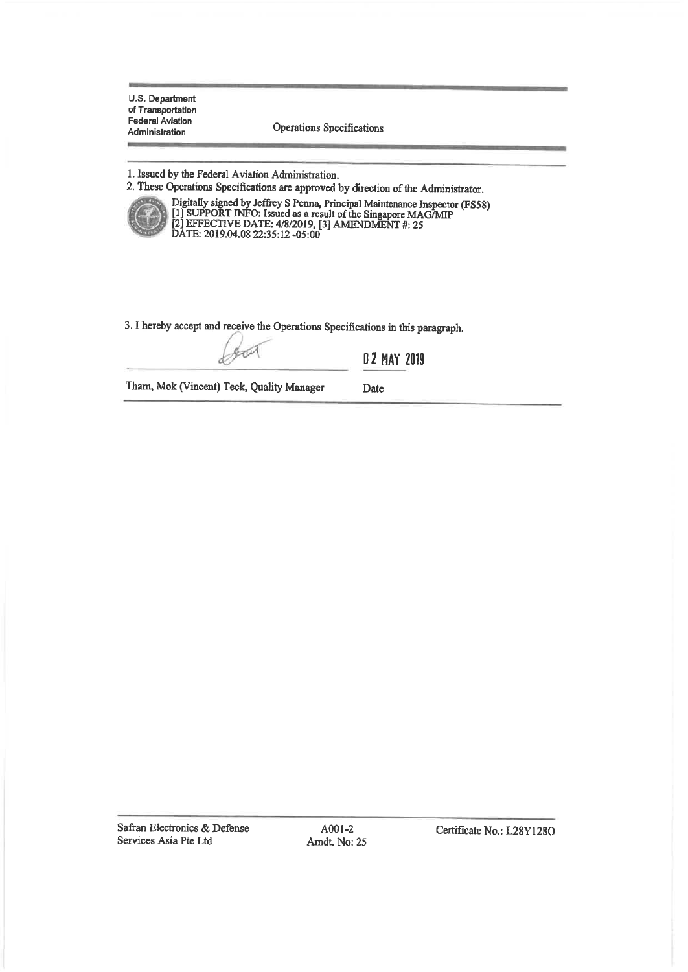Operations Specifications

1. Issued by the Federal Aviation Administration.

2. These Operations Specifications are approved by direction of the Administrator.



Digitally signed by Jeffrey S Penna, Principal Maintenance Inspector (FS58)<br>[1] SUPPORT INFO: Issued as a result of the Singapore MAG/MIP<br>[2] EFFECTIVE DATE: 4/8/2019, [3] AMENDMENT #: 25<br>DATE: 2019.04.08 22:35:12 -05:00

3. I hereby accept and receive the Operations Specifications in this paragraph.

TM

02 MAY 2019

Date

Tham, Mok (Vincent) Teck, Quality Manager

Safran Electronics & Defense Services Asia Pte Ltd

A001-2 Amdt. No: 25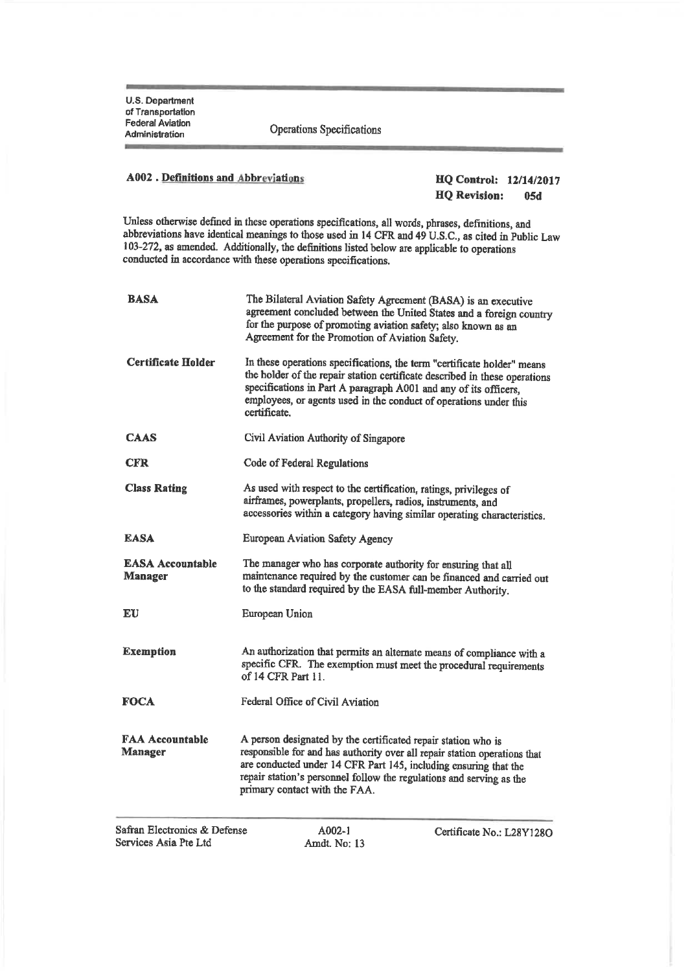Operations Specifications

# **A002**. Definitions and Abbreviations

#### **HQ Control: 12/14/2017 HQ Revision:**  $05d$

Unless otherwise defined in these operations specifications, all words, phrases, definitions, and abbreviations have identical meanings to those used in 14 CFR and 49 U.S.C., as cited in Public Law 103-272, as amended. Additionally, the definitions listed below are applicable to operations conducted in accordance with these operations specifications.

| BASA                                      | The Bilateral Aviation Safety Agreement (BASA) is an executive<br>agreement concluded between the United States and a foreign country<br>for the purpose of promoting aviation safety; also known as an<br>Agreement for the Promotion of Aviation Safety.                                                              |
|-------------------------------------------|-------------------------------------------------------------------------------------------------------------------------------------------------------------------------------------------------------------------------------------------------------------------------------------------------------------------------|
| <b>Certificate Holder</b>                 | In these operations specifications, the term "certificate holder" means<br>the holder of the repair station certificate described in these operations<br>specifications in Part A paragraph A001 and any of its officers.<br>employees, or agents used in the conduct of operations under this<br>certificate.          |
| CAAS                                      | Civil Aviation Authority of Singapore                                                                                                                                                                                                                                                                                   |
| <b>CFR</b>                                | Code of Federal Regulations                                                                                                                                                                                                                                                                                             |
| <b>Class Rating</b>                       | As used with respect to the certification, ratings, privileges of<br>airframes, powerplants, propellers, radios, instruments, and<br>accessories within a category having similar operating characteristics.                                                                                                            |
| <b>EASA</b>                               | <b>European Aviation Safety Agency</b>                                                                                                                                                                                                                                                                                  |
| <b>EASA Accountable</b><br><b>Manager</b> | The manager who has corporate authority for ensuring that all<br>maintenance required by the customer can be financed and carried out<br>to the standard required by the EASA full-member Authority.                                                                                                                    |
| EU                                        | European Union                                                                                                                                                                                                                                                                                                          |
| <b>Exemption</b>                          | An authorization that permits an alternate means of compliance with a<br>specific CFR. The exemption must meet the procedural requirements<br>of 14 CFR Part 11.                                                                                                                                                        |
| FOCA                                      | Federal Office of Civil Aviation                                                                                                                                                                                                                                                                                        |
| <b>FAA Accountable</b><br><b>Manager</b>  | A person designated by the certificated repair station who is<br>responsible for and has authority over all repair station operations that<br>are conducted under 14 CFR Part 145, including ensuring that the<br>repair station's personnel follow the regulations and serving as the<br>primary contact with the FAA. |
| <b>CONTRACTOR</b> CONTRACTOR              |                                                                                                                                                                                                                                                                                                                         |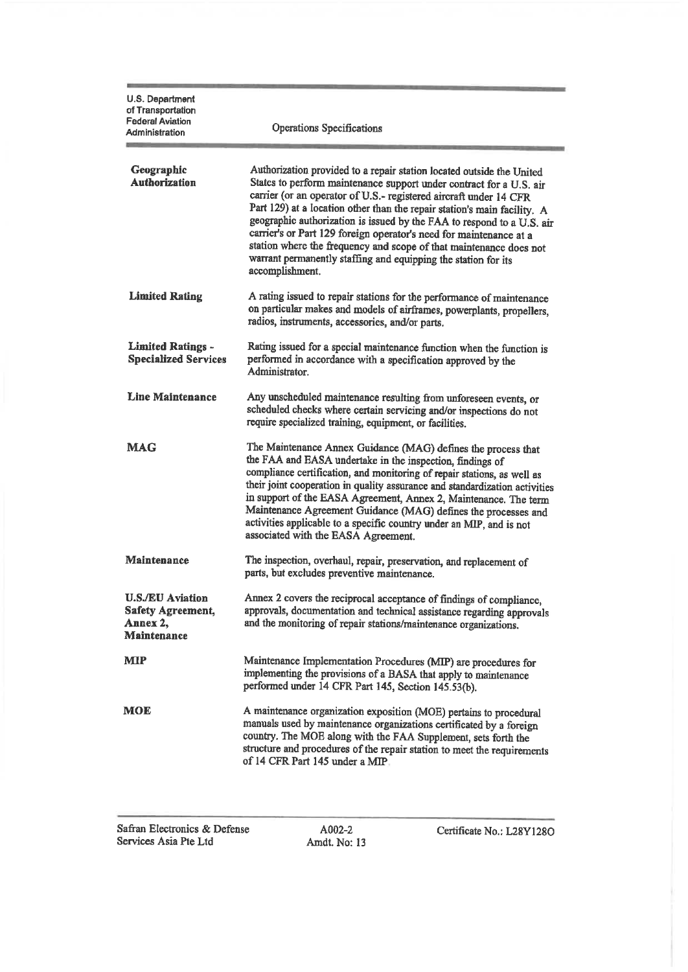| U.S. Department<br>of Transportation<br><b>Federal Aviation</b><br>Administration     | Operations Specifications                                                                                                                                                                                                                                                                                                                                                                                                                                                                                                                                                                                |  |  |  |
|---------------------------------------------------------------------------------------|----------------------------------------------------------------------------------------------------------------------------------------------------------------------------------------------------------------------------------------------------------------------------------------------------------------------------------------------------------------------------------------------------------------------------------------------------------------------------------------------------------------------------------------------------------------------------------------------------------|--|--|--|
| Geographic<br><b>Authorization</b>                                                    | Authorization provided to a repair station located outside the United<br>States to perform maintenance support under contract for a U.S. air<br>carrier (or an operator of U.S.- registered aircraft under 14 CFR<br>Part 129) at a location other than the repair station's main facility. A<br>geographic authorization is issued by the FAA to respond to a U.S. air<br>carrier's or Part 129 foreign operator's need for maintenance at a<br>station where the frequency and scope of that maintenance does not<br>warrant permanently staffing and equipping the station for its<br>accomplishment. |  |  |  |
| <b>Limited Rating</b>                                                                 | A rating issued to repair stations for the performance of maintenance<br>on particular makes and models of airframes, powerplants, propellers,<br>radios, instruments, accessories, and/or parts.                                                                                                                                                                                                                                                                                                                                                                                                        |  |  |  |
| <b>Limited Ratings -</b><br><b>Specialized Services</b>                               | Rating issued for a special maintenance function when the function is<br>performed in accordance with a specification approved by the<br>Administrator.                                                                                                                                                                                                                                                                                                                                                                                                                                                  |  |  |  |
| Line Maintenance                                                                      | Any unscheduled maintenance resulting from unforeseen events, or<br>scheduled checks where certain servicing and/or inspections do not<br>require specialized training, equipment, or facilities.                                                                                                                                                                                                                                                                                                                                                                                                        |  |  |  |
| <b>MAG</b>                                                                            | The Maintenance Annex Guidance (MAG) defines the process that<br>the FAA and EASA undertake in the inspection, findings of<br>compliance certification, and monitoring of repair stations, as well as<br>their joint cooperation in quality assurance and standardization activities<br>in support of the EASA Agreement, Annex 2, Maintenance. The term<br>Maintenance Agreement Guidance (MAG) defines the processes and<br>activities applicable to a specific country under an MIP, and is not<br>associated with the EASA Agreement.                                                                |  |  |  |
| <b>Maintenance</b>                                                                    | The inspection, overhaul, repair, preservation, and replacement of<br>parts, but excludes preventive maintenance.                                                                                                                                                                                                                                                                                                                                                                                                                                                                                        |  |  |  |
| <b>U.S./EU Aviation</b><br><b>Safety Agreement,</b><br>Annex 2,<br><b>Maintenance</b> | Annex 2 covers the reciprocal acceptance of findings of compliance<br>approvals, documentation and technical assistance regarding approvals<br>and the monitoring of repair stations/maintenance organizations.                                                                                                                                                                                                                                                                                                                                                                                          |  |  |  |
| <b>MIP</b>                                                                            | Maintenance Implementation Procedures (MIP) are procedures for<br>implementing the provisions of a BASA that apply to maintenance<br>performed under 14 CFR Part 145, Section 145.53(b).                                                                                                                                                                                                                                                                                                                                                                                                                 |  |  |  |
| MOE                                                                                   | A maintenance organization exposition (MOE) pertains to procedural<br>manuals used by maintenance organizations certificated by a foreign<br>country. The MOE along with the FAA Supplement, sets forth the<br>structure and procedures of the repair station to meet the requirements<br>of 14 CFR Part 145 under a MIP.                                                                                                                                                                                                                                                                                |  |  |  |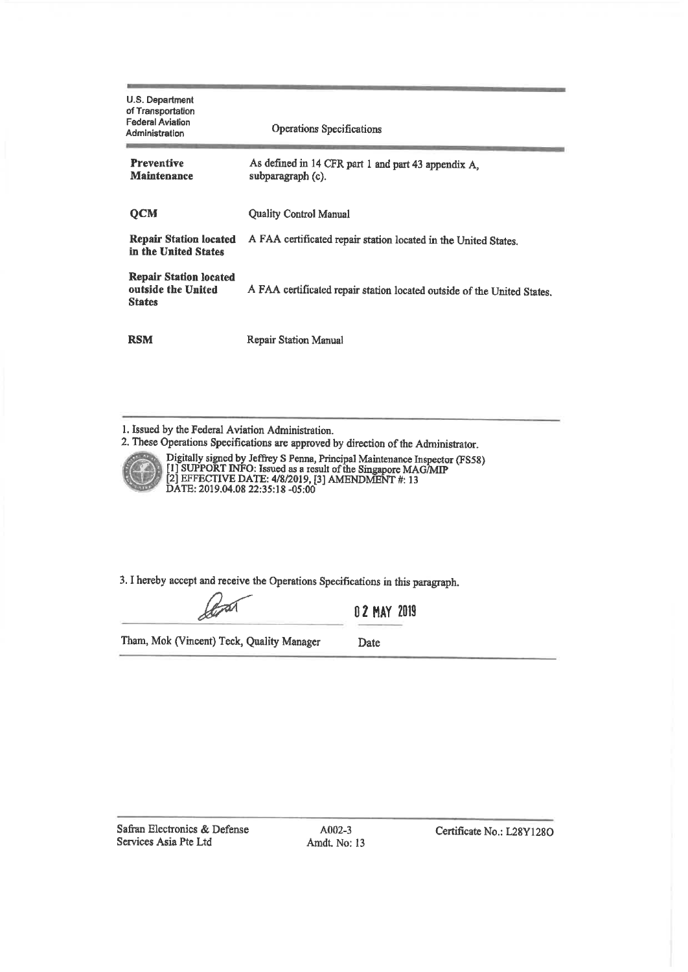| U.S. Department<br>of Transportation<br><b>Federal Aviation</b><br>Administration | Operations Specifications                                                |  |
|-----------------------------------------------------------------------------------|--------------------------------------------------------------------------|--|
| <b>Preventive</b><br><b>Maintenance</b>                                           | As defined in 14 CFR part 1 and part 43 appendix A,<br>subparagraph (c). |  |
| <b>OCM</b>                                                                        | <b>Quality Control Manual</b>                                            |  |
| <b>Repair Station located</b><br>in the United States                             | A FAA certificated repair station located in the United States.          |  |
| <b>Repair Station located</b><br>outside the United<br><b>States</b>              | A FAA certificated repair station located outside of the United States.  |  |
| <b>RSM</b>                                                                        | <b>Repair Station Manual</b>                                             |  |

1. Issued by the Federal Aviation Administration.

2. These Operations Specifications are approved by direction of the Administrator.



Digitally signed by Jeffrey S Penna, Principal Maintenance Inspector (FS58)<br>[1] SUPPORT INFO: Issued as a result of the Singapore MAG/MIP<br>[2] EFFECTIVE DATE: 4/8/2019, [3] AMENDMENT #: 13<br>DATE: 2019.04.08 22:35:18 -05:00

3. I hereby accept and receive the Operations Specifications in this paragraph.

0 2 MAY 2019

Tham, Mok (Vincent) Teck, Quality Manager

Date

Safran Electronics & Defense Services Asia Pte Ltd

A002-3 Amdt. No: 13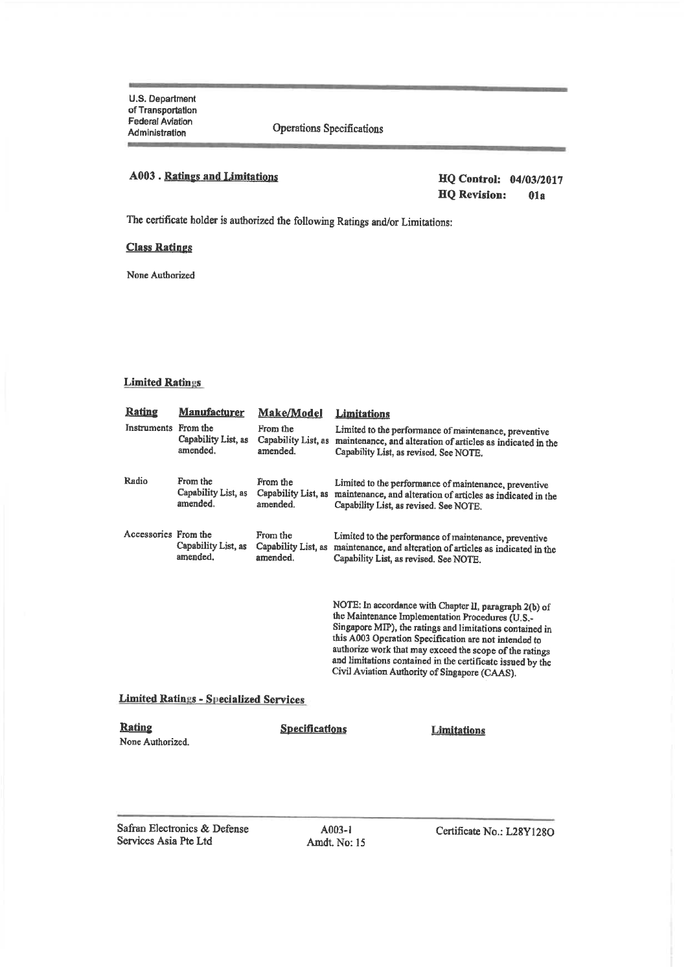**Operations Specifications** 

## **A003** . Ratings and Limitations

HQ Control: 04/03/2017 **HQ** Revision:  $01a$ 

The certificate holder is authorized the following Ratings and/or Limitations:

## **Class Ratings**

None Authorized

### **Limited Ratings**

| <u>Rating</u>                     | <u>Manufacturer</u>                           | Make/Model                                  | <b>Limitations</b>                                                                                                                                                                                                                                                                                                                                                                                        |
|-----------------------------------|-----------------------------------------------|---------------------------------------------|-----------------------------------------------------------------------------------------------------------------------------------------------------------------------------------------------------------------------------------------------------------------------------------------------------------------------------------------------------------------------------------------------------------|
| <b>Instruments</b>                | From the<br>Capability List, as<br>amended.   | From the<br>Capability List, as<br>amended. | Limited to the performance of maintenance, preventive<br>maintenance, and alteration of articles as indicated in the<br>Capability List, as revised. See NOTE.                                                                                                                                                                                                                                            |
| Radio                             | From the<br>Capability List, as<br>amended.   | From the<br>Capability List, as<br>amended. | Limited to the performance of maintenance, preventive<br>maintenance, and alteration of articles as indicated in the<br>Capability List, as revised. See NOTE.                                                                                                                                                                                                                                            |
| Accessories From the              | Capability List, as<br>amended.               | From the<br>Capability List, as<br>amended. | Limited to the performance of maintenance, preventive<br>maintenance, and alteration of articles as indicated in the<br>Capability List, as revised. See NOTE.                                                                                                                                                                                                                                            |
|                                   |                                               |                                             | NOTE: In accordance with Chapter II, paragraph 2(b) of<br>the Maintenance Implementation Procedures (U.S.-<br>Singapore MIP), the ratings and limitations contained in<br>this A003 Operation Specification are not intended to<br>authorize work that may exceed the scope of the ratings<br>and limitations contained in the certificate issued by the<br>Civil Aviation Authority of Singapore (CAAS). |
|                                   | <b>Limited Ratings - Specialized Services</b> |                                             |                                                                                                                                                                                                                                                                                                                                                                                                           |
| <u>Rating</u><br>None Authorized. |                                               | <b>Specifications</b>                       | <b>Limitations</b>                                                                                                                                                                                                                                                                                                                                                                                        |

Safran Electronics & Defense Services Asia Pte Ltd

A003-1 Amdt. No: 15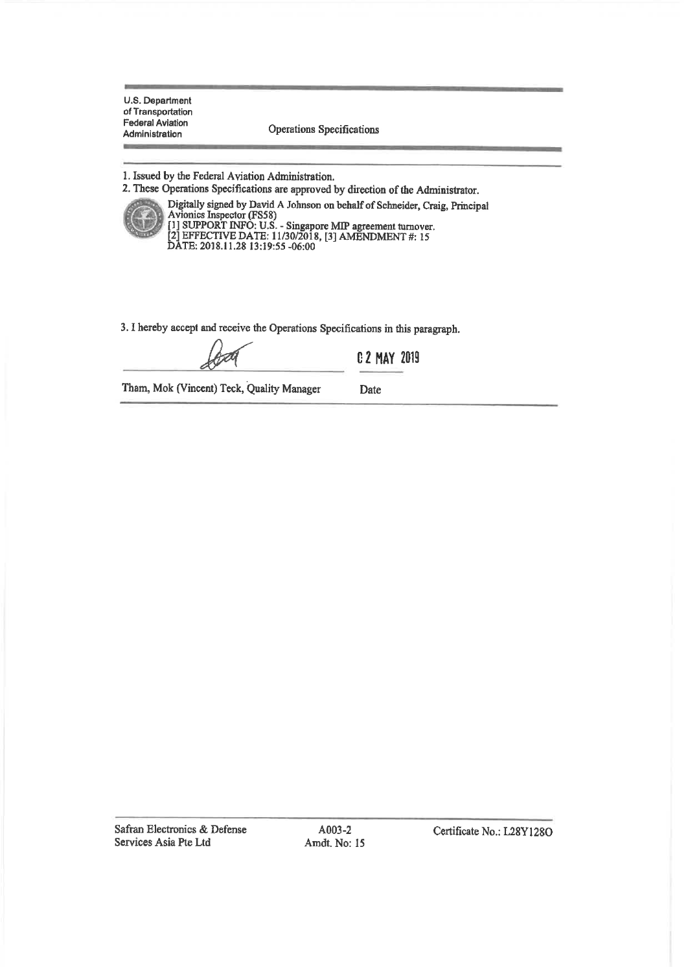Operations Specifications

1. Issued by the Federal Aviation Administration.

2. These Operations Specifications are approved by direction of the Administrator.



Digitally signed by David A Johnson on behalf of Schneider, Craig, Principal Digitally signed by David A Johnson on behalf of Schneder, Cra<br>Avionics Inspector (FS58)<br>[1] SUPPORT INFO: U.S. - Singapore MIP agreement turnover.<br>[2] EFFECTIVE DATE: 11/30/2018, [3] AMENDMENT #: 15<br>DATE: 2018.11.28 13:19

3. I hereby accept and receive the Operations Specifications in this paragraph.

**C 2 MAY 2019** 

Tham, Mok (Vincent) Teck, Quality Manager

Date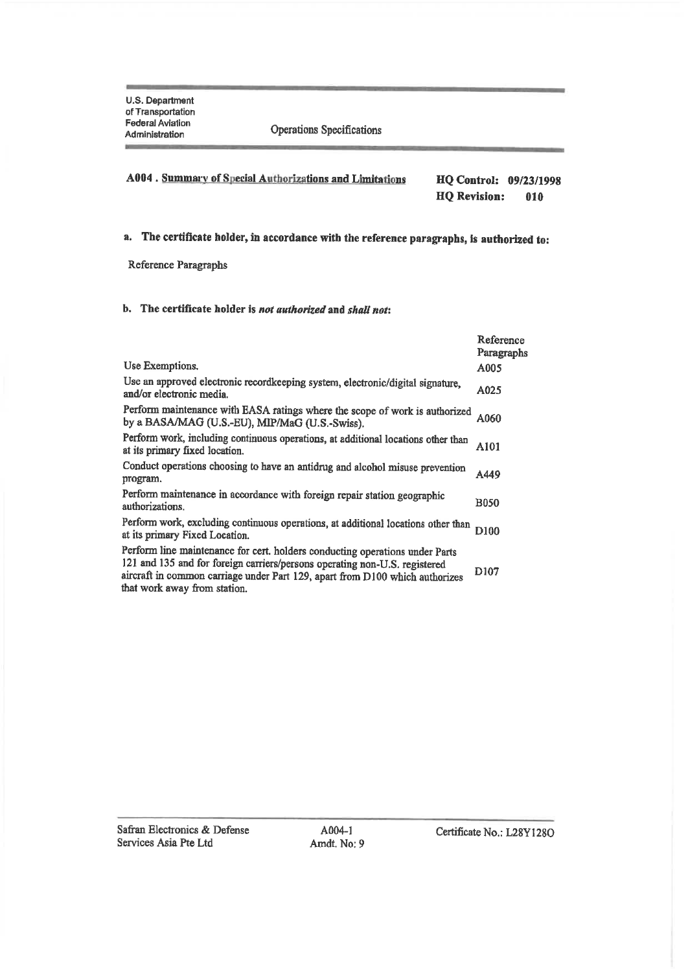#### A004. Summary of Special Authorizations and Limitations HQ Control: 09/23/1998 **HQ** Revision: 010

# a. The certificate holder, in accordance with the reference paragraphs, is authorized to:

Reference Paragraphs

# b. The certificate holder is not authorized and shall not:

|                                                                                                                                                                                                                                                                            | Reference<br>Paragraphs |
|----------------------------------------------------------------------------------------------------------------------------------------------------------------------------------------------------------------------------------------------------------------------------|-------------------------|
| Use Exemptions.                                                                                                                                                                                                                                                            | A005                    |
| Use an approved electronic recordkeeping system, electronic/digital signature,<br>and/or electronic media.                                                                                                                                                                 | A025                    |
| Perform maintenance with EASA ratings where the scope of work is authorized<br>by a BASA/MAG (U.S.-EU), MIP/MaG (U.S.-Swiss).                                                                                                                                              | A060                    |
| Perform work, including continuous operations, at additional locations other than<br>at its primary fixed location.                                                                                                                                                        | A101                    |
| Conduct operations choosing to have an antidrug and alcohol misuse prevention<br>program.                                                                                                                                                                                  | A449                    |
| Perform maintenance in accordance with foreign repair station geographic<br>authorizations.                                                                                                                                                                                | <b>B050</b>             |
| Perform work, excluding continuous operations, at additional locations other than<br>at its primary Fixed Location.                                                                                                                                                        | D100                    |
| Perform line maintenance for cert. holders conducting operations under Parts<br>121 and 135 and for foreign carriers/persons operating non-U.S. registered<br>aircraft in common carriage under Part 129, apart from D100 which authorizes<br>that work away from station. | D <sub>107</sub>        |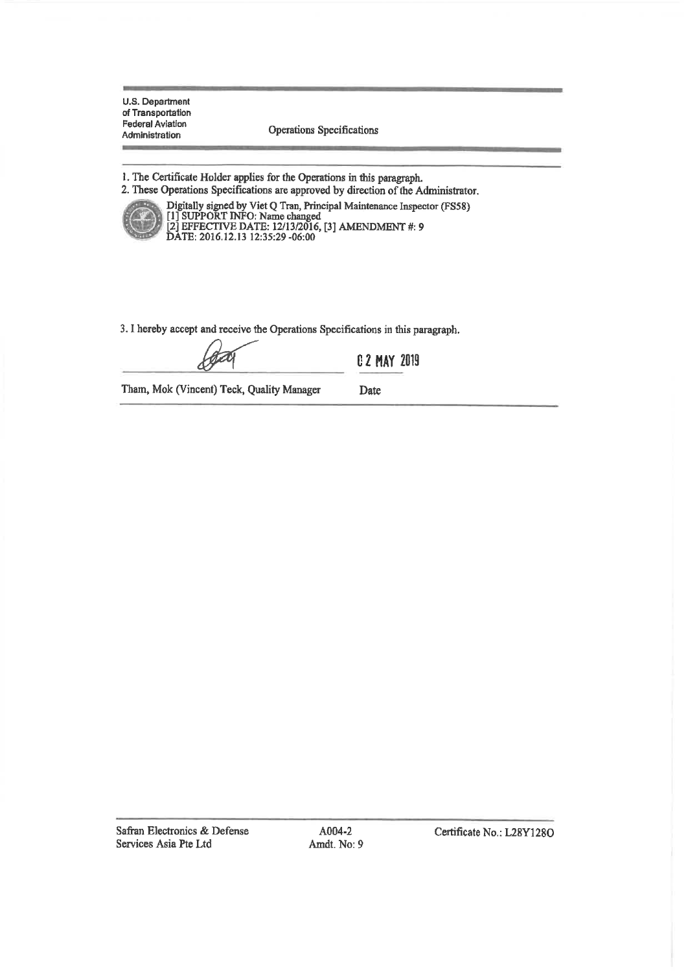**Operations Specifications** 

1. The Certificate Holder applies for the Operations in this paragraph. 2. These Operations Specifications are approved by direction of the Administrator.



Digitally signed by Viet Q Tran, Principal Maintenance Inspector (FS58)<br>[1] SUPPORT INFO: Name changed<br>[2] EFFECTIVE DATE: 12/13/2016, [3] AMENDMENT #: 9<br>DATE: 2016.12.13 12:35:29 -06:00

3. I hereby accept and receive the Operations Specifications in this paragraph.

**C 2 MAY 2019** 

Date

Tham, Mok (Vincent) Teck, Quality Manager

Safran Electronics & Defense Services Asia Pte Ltd

A004-2 Amdt. No: 9